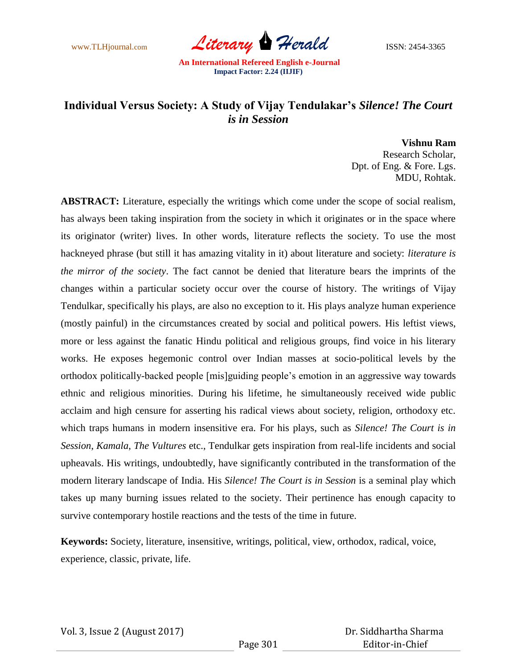www.TLHjournal.com *Literary Herald* ISSN: 2454-3365

## **Individual Versus Society: A Study of Vijay Tendulakar's** *Silence! The Court is in Session*

**Vishnu Ram** Research Scholar, Dpt. of Eng. & Fore. Lgs. MDU, Rohtak.

**ABSTRACT:** Literature, especially the writings which come under the scope of social realism, has always been taking inspiration from the society in which it originates or in the space where its originator (writer) lives. In other words, literature reflects the society. To use the most hackneyed phrase (but still it has amazing vitality in it) about literature and society: *literature is the mirror of the society*. The fact cannot be denied that literature bears the imprints of the changes within a particular society occur over the course of history. The writings of Vijay Tendulkar, specifically his plays, are also no exception to it. His plays analyze human experience (mostly painful) in the circumstances created by social and political powers. His leftist views, more or less against the fanatic Hindu political and religious groups, find voice in his literary works. He exposes hegemonic control over Indian masses at socio-political levels by the orthodox politically-backed people [mis]guiding people"s emotion in an aggressive way towards ethnic and religious minorities. During his lifetime, he simultaneously received wide public acclaim and high censure for asserting his radical views about society, religion, orthodoxy etc. which traps humans in modern insensitive era. For his plays, such as *Silence! The Court is in Session*, *Kamala*, *The Vultures* etc., Tendulkar gets inspiration from real-life incidents and social upheavals. His writings, undoubtedly, have significantly contributed in the transformation of the modern literary landscape of India. His *Silence! The Court is in Session* is a seminal play which takes up many burning issues related to the society. Their pertinence has enough capacity to survive contemporary hostile reactions and the tests of the time in future.

**Keywords:** Society, literature, insensitive, writings, political, view, orthodox, radical, voice, experience, classic, private, life.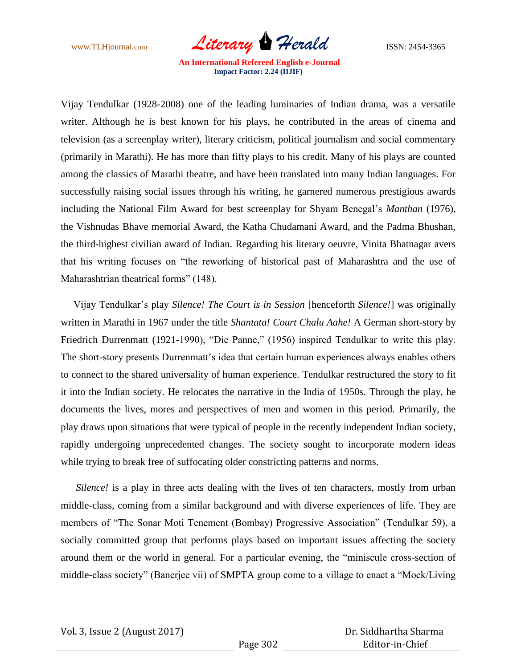www.TLHjournal.com *Literary Herald* ISSN: 2454-3365

Vijay Tendulkar (1928-2008) one of the leading luminaries of Indian drama, was a versatile writer. Although he is best known for his plays, he contributed in the areas of cinema and television (as a screenplay writer), literary criticism, political journalism and social commentary (primarily in Marathi). He has more than fifty plays to his credit. Many of his plays are counted among the classics of Marathi theatre, and have been translated into many Indian languages. For successfully raising social issues through his writing, he garnered numerous prestigious awards including the National Film Award for best screenplay for Shyam Benegal"s *Manthan* (1976), the Vishnudas Bhave memorial Award, the Katha Chudamani Award, and the Padma Bhushan, the third-highest civilian award of Indian. Regarding his literary oeuvre, Vinita Bhatnagar avers that his writing focuses on "the reworking of historical past of Maharashtra and the use of Maharashtrian theatrical forms" (148).

 Vijay Tendulkar"s play *Silence! The Court is in Session* [henceforth *Silence!*] was originally written in Marathi in 1967 under the title *Shantata! Court Chalu Aahe!* A German short-story by Friedrich Durrenmatt (1921-1990), "Die Panne," (1956) inspired Tendulkar to write this play. The short-story presents Durrenmatt"s idea that certain human experiences always enables others to connect to the shared universality of human experience. Tendulkar restructured the story to fit it into the Indian society. He relocates the narrative in the India of 1950s. Through the play, he documents the lives, mores and perspectives of men and women in this period. Primarily, the play draws upon situations that were typical of people in the recently independent Indian society, rapidly undergoing unprecedented changes. The society sought to incorporate modern ideas while trying to break free of suffocating older constricting patterns and norms.

 *Silence!* is a play in three acts dealing with the lives of ten characters, mostly from urban middle-class, coming from a similar background and with diverse experiences of life. They are members of "The Sonar Moti Tenement (Bombay) Progressive Association" (Tendulkar 59), a socially committed group that performs plays based on important issues affecting the society around them or the world in general. For a particular evening, the "miniscule cross-section of middle-class society" (Banerjee vii) of SMPTA group come to a village to enact a "Mock/Living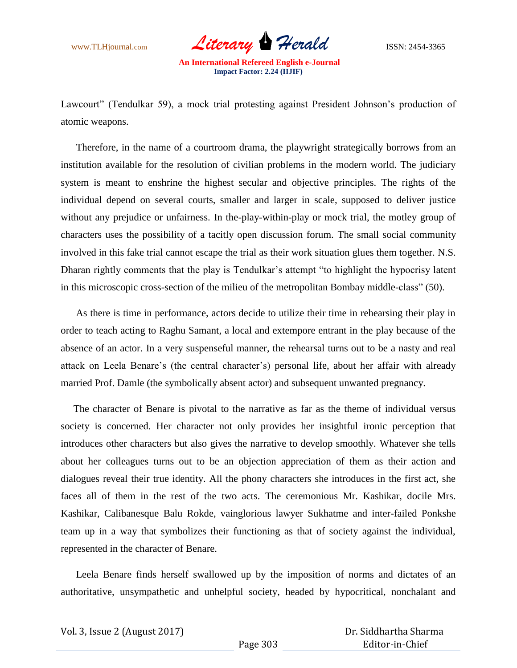www.TLHjournal.com *Literary Herald* ISSN: 2454-3365

Lawcourt" (Tendulkar 59), a mock trial protesting against President Johnson's production of atomic weapons.

 Therefore, in the name of a courtroom drama, the playwright strategically borrows from an institution available for the resolution of civilian problems in the modern world. The judiciary system is meant to enshrine the highest secular and objective principles. The rights of the individual depend on several courts, smaller and larger in scale, supposed to deliver justice without any prejudice or unfairness. In the-play-within-play or mock trial, the motley group of characters uses the possibility of a tacitly open discussion forum. The small social community involved in this fake trial cannot escape the trial as their work situation glues them together. N.S. Dharan rightly comments that the play is Tendulkar's attempt "to highlight the hypocrisy latent in this microscopic cross-section of the milieu of the metropolitan Bombay middle-class" (50).

 As there is time in performance, actors decide to utilize their time in rehearsing their play in order to teach acting to Raghu Samant, a local and extempore entrant in the play because of the absence of an actor. In a very suspenseful manner, the rehearsal turns out to be a nasty and real attack on Leela Benare's (the central character's) personal life, about her affair with already married Prof. Damle (the symbolically absent actor) and subsequent unwanted pregnancy.

 The character of Benare is pivotal to the narrative as far as the theme of individual versus society is concerned. Her character not only provides her insightful ironic perception that introduces other characters but also gives the narrative to develop smoothly. Whatever she tells about her colleagues turns out to be an objection appreciation of them as their action and dialogues reveal their true identity. All the phony characters she introduces in the first act, she faces all of them in the rest of the two acts. The ceremonious Mr. Kashikar, docile Mrs. Kashikar, Calibanesque Balu Rokde, vainglorious lawyer Sukhatme and inter-failed Ponkshe team up in a way that symbolizes their functioning as that of society against the individual, represented in the character of Benare.

 Leela Benare finds herself swallowed up by the imposition of norms and dictates of an authoritative, unsympathetic and unhelpful society, headed by hypocritical, nonchalant and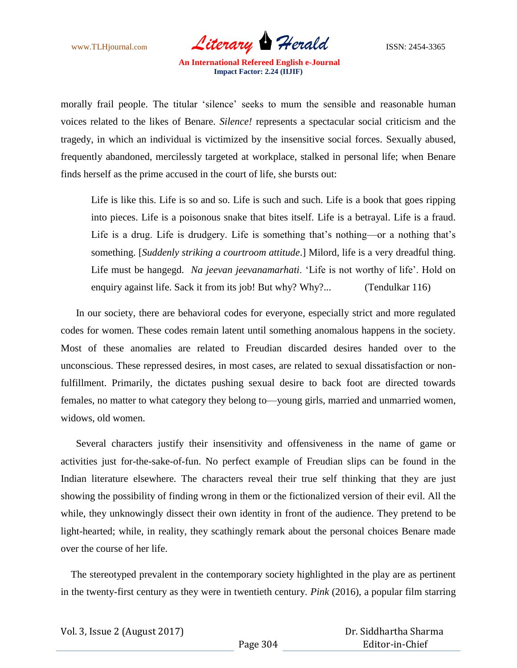www.TLHjournal.com *Literary Herald* ISSN: 2454-3365

morally frail people. The titular "silence" seeks to mum the sensible and reasonable human voices related to the likes of Benare. *Silence!* represents a spectacular social criticism and the tragedy, in which an individual is victimized by the insensitive social forces. Sexually abused, frequently abandoned, mercilessly targeted at workplace, stalked in personal life; when Benare finds herself as the prime accused in the court of life, she bursts out:

Life is like this. Life is so and so. Life is such and such. Life is a book that goes ripping into pieces. Life is a poisonous snake that bites itself. Life is a betrayal. Life is a fraud. Life is a drug. Life is drudgery. Life is something that's nothing—or a nothing that's something. [*Suddenly striking a courtroom attitude*.] Milord, life is a very dreadful thing. Life must be hangegd. *Na jeevan jeevanamarhati*. "Life is not worthy of life". Hold on enquiry against life. Sack it from its job! But why? Why?... (Tendulkar 116)

 In our society, there are behavioral codes for everyone, especially strict and more regulated codes for women. These codes remain latent until something anomalous happens in the society. Most of these anomalies are related to Freudian discarded desires handed over to the unconscious. These repressed desires, in most cases, are related to sexual dissatisfaction or nonfulfillment. Primarily, the dictates pushing sexual desire to back foot are directed towards females, no matter to what category they belong to—young girls, married and unmarried women, widows, old women.

 Several characters justify their insensitivity and offensiveness in the name of game or activities just for-the-sake-of-fun. No perfect example of Freudian slips can be found in the Indian literature elsewhere. The characters reveal their true self thinking that they are just showing the possibility of finding wrong in them or the fictionalized version of their evil. All the while, they unknowingly dissect their own identity in front of the audience. They pretend to be light-hearted; while, in reality, they scathingly remark about the personal choices Benare made over the course of her life.

 The stereotyped prevalent in the contemporary society highlighted in the play are as pertinent in the twenty-first century as they were in twentieth century. *Pink* (2016), a popular film starring